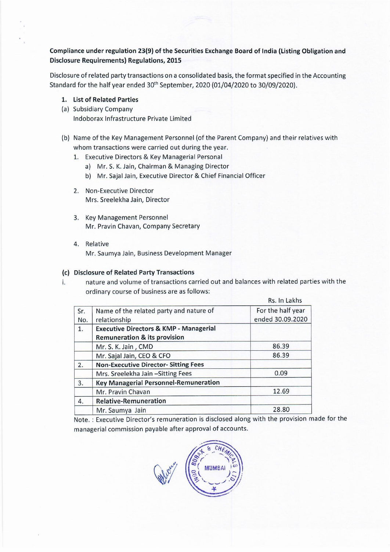## Compliance under regulation 23(9) of the Securities Exchange Board of India (Listing Obligation and Disclosure Requirements) Regulations, 2015

Disclosure of related party transactions on a consolidated basis, the format specified in the Accounting Standard for the half year ended 30<sup>th</sup> September, 2020 (01/04/2020 to 30/09/2020). re of related party transactions on a cons<br>
a for the half year ended 30<sup>th</sup> September<br>
List of Related Parties<br>
Subsidiary Company<br>
Indoborax Infrastructure Private Limited<br>
Name of the Key Management Personne<br>
whom trans

- 1. List of Related Parties
- (a) Subsidiary Company Indoborax Infrastructure Private Limited
- (b) Name of the Key Management Personnel (of the Parent Company) and their relatives with whom transactions were carried out during the year.
	- 1. Executive Directors & Key Managerial Personal
		- a) Mr.S. K. Jain, Chairman & Managing Director
		- b) Mr. Sajal Jain, Executive Director & Chief Financial Officer
	- 2. Non-Executive Director Mrs. Sreelekha Jain, Director
	- 3. Key Management Personnel Mr. Pravin Chavan, Company Secretary
	- 4. Relative Mr. Saumya Jain, Business Development Manager

## (c) Disclosure of Related Party Transactions

i. nature and volume of transactions carried out and balances with related parties with the ordinary course of business are as follows:

|           | <b>List of Related Parties</b>                                                                                                                                                                                                                                                                                 |                   |  |
|-----------|----------------------------------------------------------------------------------------------------------------------------------------------------------------------------------------------------------------------------------------------------------------------------------------------------------------|-------------------|--|
|           | <b>Subsidiary Company</b>                                                                                                                                                                                                                                                                                      |                   |  |
|           | Indoborax Infrastructure Private Limited                                                                                                                                                                                                                                                                       |                   |  |
| 1.        | Name of the Key Management Personnel (of the Parent Company) and their relati<br>whom transactions were carried out during the year.<br>Executive Directors & Key Managerial Personal<br>a) Mr. S. K. Jain, Chairman & Managing Director<br>Mr. Sajal Jain, Executive Director & Chief Financial Officer<br>b) |                   |  |
| 2.        | <b>Non-Executive Director</b><br>Mrs. Sreelekha Jain, Director                                                                                                                                                                                                                                                 |                   |  |
| 3.        | <b>Key Management Personnel</b><br>Mr. Pravin Chavan, Company Secretary                                                                                                                                                                                                                                        |                   |  |
| 4.        | Relative<br>Mr. Saumya Jain, Business Development Manager<br><b>Disclosure of Related Party Transactions</b>                                                                                                                                                                                                   |                   |  |
|           | nature and volume of transactions carried out and balances with related parti                                                                                                                                                                                                                                  |                   |  |
|           |                                                                                                                                                                                                                                                                                                                |                   |  |
|           | ordinary course of business are as follows:                                                                                                                                                                                                                                                                    | Rs. In Lakhs      |  |
|           |                                                                                                                                                                                                                                                                                                                | For the half year |  |
| Sr.       | Name of the related party and nature of<br>relationship                                                                                                                                                                                                                                                        | ended 30.09.2020  |  |
| No.<br>1. | <b>Executive Directors &amp; KMP - Managerial</b>                                                                                                                                                                                                                                                              |                   |  |
|           | <b>Remuneration &amp; its provision</b>                                                                                                                                                                                                                                                                        |                   |  |
|           | Mr. S. K. Jain, CMD                                                                                                                                                                                                                                                                                            | 86.39             |  |
|           | Mr. Sajal Jain, CEO & CFO                                                                                                                                                                                                                                                                                      | 86.39             |  |
| 2.        | <b>Non-Executive Director- Sitting Fees</b>                                                                                                                                                                                                                                                                    |                   |  |
|           | Mrs. Sreelekha Jain - Sitting Fees                                                                                                                                                                                                                                                                             | 0.09              |  |
| 3.        | <b>Key Managerial Personnel-Remuneration</b>                                                                                                                                                                                                                                                                   |                   |  |
|           | Mr. Pravin Chavan                                                                                                                                                                                                                                                                                              | 12.69             |  |
| 4.        | <b>Relative-Remuneration</b>                                                                                                                                                                                                                                                                                   |                   |  |
|           | Mr. Saumya Jain                                                                                                                                                                                                                                                                                                | 28.80             |  |

Note. : Executive Director's remuneration is disclosed along with the provision made for the managerial commission payable after approval of accounts.

Call com REAL PROPERTY OF CHEANCE